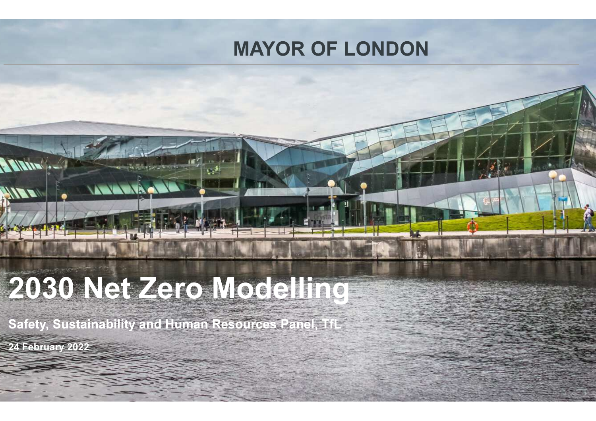#### MAYOR OF LONDON

# 2030 Net Zero Modelling

ANNOUND

Safety, Sustainability and Human Resources Panel, TfL

24 February 2022

A Mandy

**ANTE**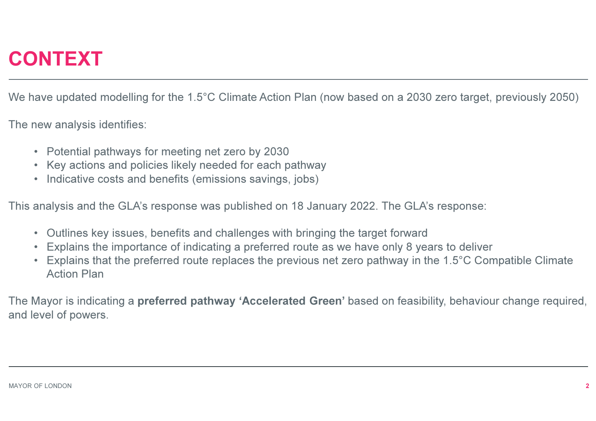#### CONTEXT

We have updated modelling for the 1.5°C Climate Action Plan (now based on a 2030 zero target, previously 2050)

The new analysis identifies:

- Potential pathways for meeting net zero by 2030
- Key actions and policies likely needed for each pathway
- $\bullet$ Indicative costs and benefits (emissions savings, jobs)

This analysis and the GLA's response was published on 18 January 2022. The GLA's response:

- Outlines key issues, benefits and challenges with bringing the target forward
- Explains the importance of indicating a preferred route as we have only 8 years to deliver•
- $\bullet$  Explains that the preferred route replaces the previous net zero pathway in the 1.5°C Compatible Climate Action Plan

The Mayor is indicating a preferred pathway 'Accelerated Green' based on feasibility, behaviour change required, and level of powers.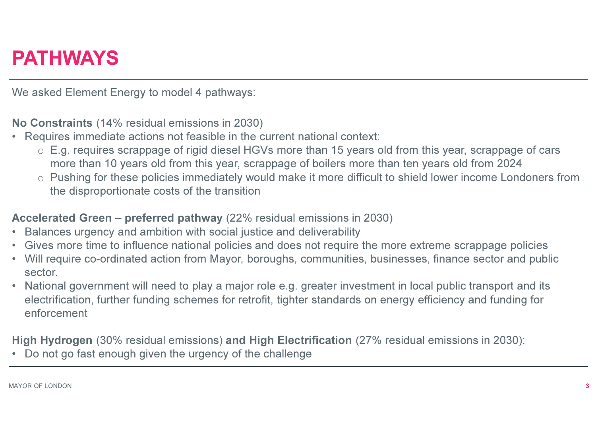#### PATHWAYS

We asked Element Energy to model 4 pathways:

No Constraints (14% residual emissions in 2030)

- • Requires immediate actions not feasible in the current national context:
	- o E.g. requires scrappage of rigid diesel HGVs more than 15 years old from this year, scrappage of cars more than 10 years old from this year, scrappage of boilers more than ten years old from 2024
	- o Pushing for these policies immediately would make it more difficult to shield lower income Londoners from and the disproportionate costs of the transition

#### Accelerated Green – preferred pathway (22% residual emissions in 2030)

- •Balances urgency and ambition with social justice and deliverability
- Gives more time to influence national policies and does not require the more extreme scrappage policies•
- Will require co-ordinated action from Mayor, boroughs, communities, businesses, finance sector and public  $\bullet$ sector.
- • National government will need to play a major role e.g. greater investment in local public transport and its electrification, further funding schemes for retrofit, tighter standards on energy efficiency and funding for enforcement

High Hydrogen (30% residual emissions) and High Electrification (27% residual emissions in 2030):

•Do not go fast enough given the urgency of the challenge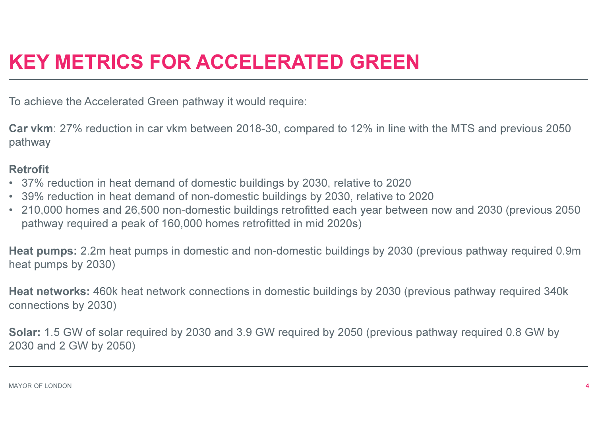### KEY METRICS FOR ACCELERATED GREEN

To achieve the Accelerated Green pathway it would require:

Car vkm: 27% reduction in car vkm between 2018-30, compared to 12% in line with the MTS and previous 2050 pathway

#### Retrofit

- 37% reduction in heat demand of domestic buildings by 2030, relative to 2020
- 39% reduction in heat demand of non-domestic buildings by 2030, relative to 2020
- 210,000 homes and 26,500 non-domestic buildings retrofitted each year between now and 2030 (previous 2050 pathway required a peak of 160,000 homes retrofitted in mid 2020s)

Heat pumps: 2.2m heat pumps in domestic and non-domestic buildings by 2030 (previous pathway required 0.9m heat pumps by 2030)

Heat networks: 460k heat network connections in domestic buildings by 2030 (previous pathway required 340k connections by 2030)

Solar: 1.5 GW of solar required by 2030 and 3.9 GW required by 2050 (previous pathway required 0.8 GW by 2030 and 2 GW by 2050)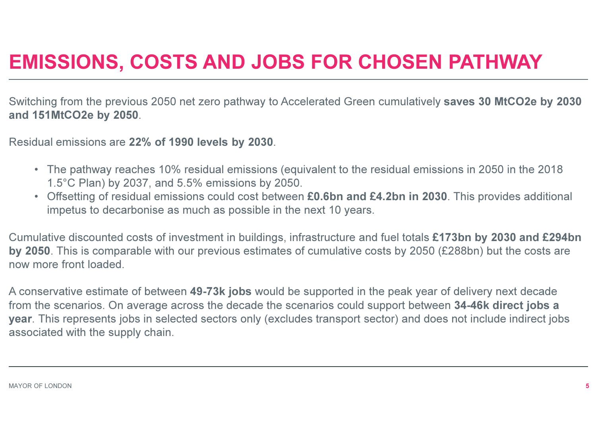### EMISSIONS, COSTS AND JOBS FOR CHOSEN PATHWAY

Switching from the previous 2050 net zero pathway to Accelerated Green cumulatively saves 30 MtCO2e by 2030and 151MtCO2e by 2050.

Residual emissions are 22% of 1990 levels by 2030.

- The pathway reaches 10% residual emissions (equivalent to the residual emissions in 2050 in the 2018 1.5°C Plan) by 2037, and 5.5% emissions by 2050.
- Offsetting of residual emissions could cost between £0.6bn and £4.2bn in 2030. This provides additional impetus to decarbonise as much as possible in the next 10 years.

Cumulative discounted costs of investment in buildings, infrastructure and fuel totals £173bn by 2030 and £294bn by 2050. This is comparable with our previous estimates of cumulative costs by 2050 (£288bn) but the costs are now more front loaded.

A conservative estimate of between 49-73k jobs would be supported in the peak year of delivery next decade from the scenarios. On average across the decade the scenarios could support between 34-46k direct jobs a year. This represents jobs in selected sectors only (excludes transport sector) and does not include indirect jobs associated with the supply chain.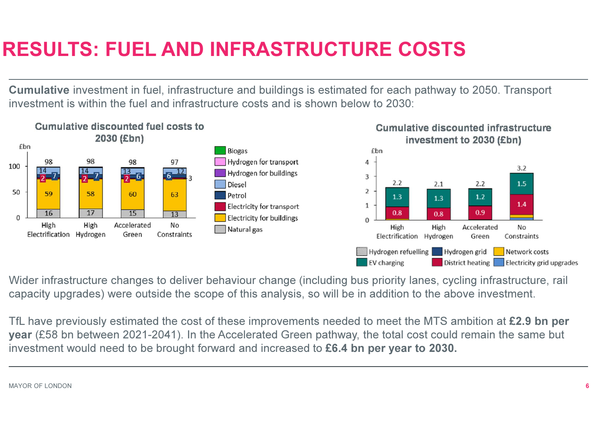### RESULTS: FUEL AND INFRASTRUCTURE COSTS

Cumulative investment in fuel, infrastructure and buildings is estimated for each pathway to 2050. Transport investment is within the fuel and infrastructure costs and is shown below to 2030:



Wider infrastructure changes to deliver behaviour change (including bus priority lanes, cycling infrastructure, rail capacity upgrades) were outside the scope of this analysis, so will be in addition to the above investment.

TfL have previously estimated the cost of these improvements needed to meet the MTS ambition at £2.9 bn per year (£58 bn between 2021-2041). In the Accelerated Green pathway, the total cost could remain the same but investment would need to be brought forward and increased to £6.4 bn per year to 2030.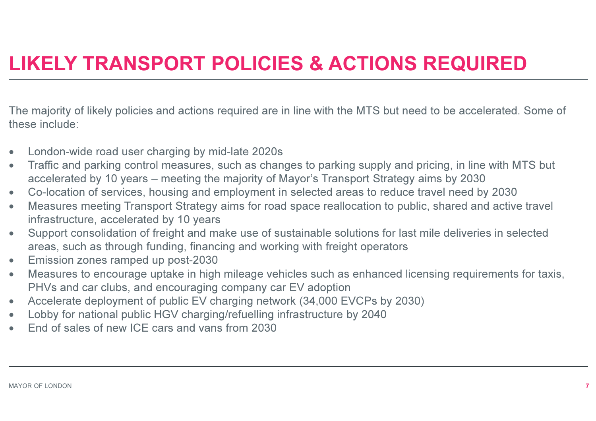### LIKELY TRANSPORT POLICIES & ACTIONS REQUIRED

The majority of likely policies and actions required are in line with the MTS but need to be accelerated. Some of these include:

- •London-wide road user charging by mid-late 2020s
- $\bullet$  Traffic and parking control measures, such as changes to parking supply and pricing, in line with MTS but •accelerated by 10 years – meeting the majority of Mayor's Transport Strategy aims by 2030
- Co-location of services, housing and employment in selected areas to reduce travel need by 2030•
- Measures meeting Transport Strategy aims for road space reallocation to public, shared and active travel •infrastructure, accelerated by 10 years
- Support consolidation of freight and make use of sustainable solutions for last mile deliveries in selected •areas, such as through funding, financing and working with freight operators
- •Emission zones ramped up post-2030
- Measures to encourage uptake in high mileage vehicles such as enhanced licensing requirements for taxis, •PHVs and car clubs, and encouraging company car EV adoption
- Accelerate deployment of public EV charging network (34,000 EVCPs by 2030) •
- •Lobby for national public HGV charging/refuelling infrastructure by 2040
- •End of sales of new ICE cars and vans from 2030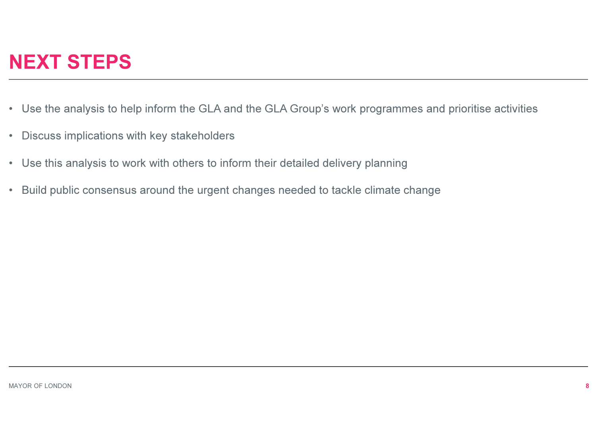### NEXT STEPS

- Use the analysis to help inform the GLA and the GLA Group's work programmes and prioritise activities
- $\bullet$ Discuss implications with key stakeholders
- Use this analysis to work with others to inform their detailed delivery planning
- •Build public consensus around the urgent changes needed to tackle climate change